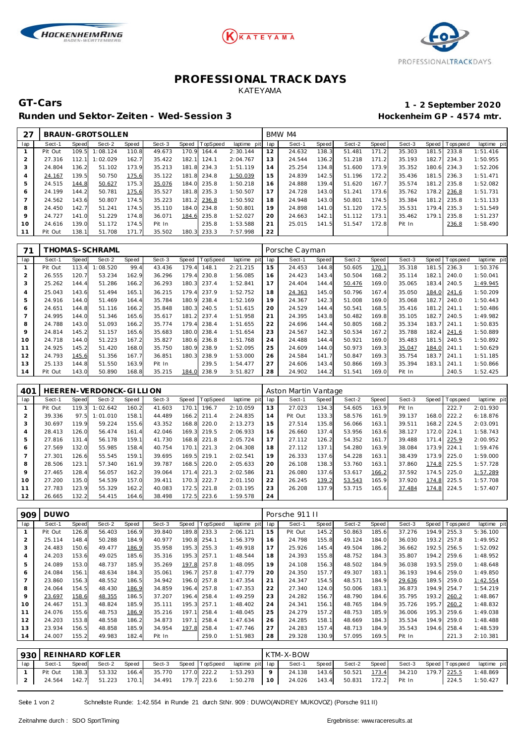





## **PROFESSIONAL TRACK DAYS** KATEYAMA

**GT-Cars 1 - 2 September 2020**

## **Runden und Sektor-Zeiten - Wed-Session 3 Hockenheim GP - 4574 mtr.**

| 27             |         |       | BRAUN-GROTSOLLEN |       |        |       |                  |             | BMW M4 |        |       |        |       |        |       |                 |             |  |
|----------------|---------|-------|------------------|-------|--------|-------|------------------|-------------|--------|--------|-------|--------|-------|--------|-------|-----------------|-------------|--|
| lap            | Sect-1  | Speed | Sect-2           | Speed | Sect-3 |       | Speed   TopSpeed | laptime pit | lap    | Sect-1 | Speed | Sect-2 | Speed | Sect-3 |       | Speed Tops peed | laptime pit |  |
|                | Pit Out | 109.5 | 1:08.124         | 110.8 | 49.673 | 170.9 | 164.4            | 2:30.144    | 12     | 24.632 | 138.3 | 51.481 | 171.2 | 35.303 | 181.5 | 233.8           | 1:51.416    |  |
| $\overline{2}$ | 27.316  | 112.1 | 1:02.029         | 162.7 | 35.422 | 182.1 | 124.1            | 2:04.767    | 13     | 24.544 | 136.2 | 51.218 | 171.2 | 35.193 | 182.7 | 234.3           | 1:50.955    |  |
| 3              | 24.804  | 136.2 | 51.102           | 173.9 | 35.213 | 181.8 | 234.3            | 1:51.119    | 14     | 25.254 | 134.8 | 51.600 | 173.9 | 35.352 | 180.6 | 234.3           | 1:52.206    |  |
| 4              | 24.167  | 139.5 | 50.750           | 175.6 | 35.122 | 181.8 | 234.8            | 1:50.039    | 15     | 24.839 | 142.5 | 51.196 | 172.2 | 35.436 | 181.5 | 236.3           | 1:51.471    |  |
| 5              | 24.515  | 144.8 | 50.627           | 175.3 | 35.076 | 184.0 | 235.8            | 1:50.218    | 16     | 24.888 | 139.4 | 51.620 | 167.7 | 35.574 | 181.2 | 235.8           | 1:52.082    |  |
| 6              | 24.199  | 144.2 | 50.781           | 175.6 | 35.527 | 181.8 | 235.3            | 1:50.507    | 17     | 24.728 | 143.0 | 51.241 | 173.6 | 35.762 | 178.2 | 236.8           | 1:51.731    |  |
|                | 24.562  | 143.6 | 50.807           | 174.5 | 35.223 | 181.2 | 236.8            | 1:50.592    | 18     | 24.948 | 143.0 | 50.801 | 174.5 | 35.384 | 181.2 | 235.8           | 1:51.133    |  |
| 8              | 24.450  | 142.7 | 51.241           | 174.5 | 35.110 | 184.0 | 234.8            | 1:50.801    | 19     | 24.898 | 141.0 | 51.120 | 172.5 | 35.531 | 179.4 | 235.3           | 1:51.549    |  |
| 9              | 24.727  | 141.0 | 51.229           | 174.8 | 36.071 | 184.6 | 235.8            | 1:52.027    | 20     | 24.663 | 142.1 | 51.112 | 173.1 | 35.462 | 179.1 | 235.8           | 1:51.237    |  |
| 10             | 24.616  | 139.0 | 51.172           | 174.5 | Pit In |       | 235.8            | 1:53.588    | 21     | 25.015 | 141.5 | 51.547 | 172.8 | Pit In |       | 236.8           | 1:58.490    |  |
|                | Pit Out | 138.1 | 51.708           | 171.7 | 35.502 | 180.3 | 233.3            | 7:57.998    | 22     |        |       |        |       |        |       |                 |             |  |

|     |         |       | 「HOMAS-SCHRAML |              |        |          |          |                | Porsche Cayman |        |       |        |              |        |           |            |             |  |
|-----|---------|-------|----------------|--------------|--------|----------|----------|----------------|----------------|--------|-------|--------|--------------|--------|-----------|------------|-------------|--|
| lap | Sect-1  | Speed | Sect-2         | <b>Speed</b> | Sect-3 | Speed    | TopSpeed | pit<br>laptime | lap            | Sect-1 | Speed | Sect-2 | <b>Speed</b> | Sect-3 | Speed     | I Topspeed | laptime pit |  |
|     | Pit Out | 113.4 | 1:08.520       | 99.4         | 43.436 | 179.4    | 148.1    | 2:21.215       | 15             | 24.453 | 144.8 | 50.605 | 170.1        | 35.318 | 181       | 236.3      | 1:50.376    |  |
|     | 26.555  | 120.7 | 53.234         | 162.9        | 36.296 | 179.4    | 230.8    | 1:56.085       | 16             | 24.423 | 143.4 | 50.504 | 168.2        | 35.114 | 182.7     | 240.0      | 1:50.041    |  |
| 3   | 25.262  | 144.4 | 51.286         | 166.2        | 36.293 | 180.3    | 237.4    | 1:52.841       | 17             | 24.404 | 144.4 | 50.476 | 169.0        | 35.065 | 183.4     | 240.5      | 1:49.945    |  |
| 4   | 25.043  | 143.6 | 51.494         | 165.1        | 36.215 | 179.4    | 237.9    | 1:52.752       | 18             | 24.363 | 145.0 | 50.796 | 167.4        | 35.050 | 184.0     | 241.6      | 1:50.209    |  |
| 5   | 24.916  | 144.0 | 51.469         | 164.4        | 35.784 | 180.9    | 238.4    | 1:52.169       | 19             | 24.367 | 142.3 | 51.008 | 169.0        | 35.068 | 182.7     | 240.0      | 1:50.443    |  |
| 6   | 24.651  | 144.8 | 51.116         | 166.2        | 35.848 | 180.3    | 240.5    | 1:51.615       | 20             | 24.529 | 144.4 | 50.541 | 168.5        | 35.416 | 181<br>.2 | 241.1      | 1:50.486    |  |
|     | 24.995  | 144.0 | 51.346         | 165.6        | 35.617 | 181<br>2 | 237.4    | 1:51.958       | 21             | 24.395 | 143.8 | 50.482 | 169.8        | 35.105 | 182.7     | 240.5      | 1:49.982    |  |
| 8   | 24.788  | 143.0 | 51.093         | 166.2        | 35.774 | 179.4    | 238.4    | 1:51.655       | 22             | 24.696 | 144.4 | 50.805 | 168.2        | 35.334 | 183.7     | 241.1      | 1:50.835    |  |
| 9   | 24.814  | 145.2 | 51.157         | 165.6        | 35.683 | 180.C    | 238.4    | 1:51.654       | 23             | 24.567 | 142.3 | 50.534 | 167.2        | 35.788 | 182.4     | 241.6      | 1:50.889    |  |
| 10  | 24.718  | 144.0 | 51.223         | 167.2        | 35.827 | 180.6    | 236.8    | 1:51.768       | 24             | 24.488 | 144.4 | 50.921 | 169.0        | 35.483 | 181.5     | 240.5      | 1:50.892    |  |
|     | 24.925  | 145.2 | 51.420         | 168.0        | 35.750 | 180.9    | 238.9    | 1:52.095       | 25             | 24.609 | 144.0 | 50.973 | 169.3        | 35.047 | 184.0     | 241.1      | 1:50.629    |  |
| 12  | 24.793  | 145.6 | 51.356         | 167.7        | 36.851 | 180.3    | 238.9    | 1:53.000       | 26             | 24.584 | 141.7 | 50.847 | 169.3        | 35.754 | 183.7     | 241.1      | 1:51.185    |  |
| 13  | 25.133  | 144.8 | 51.550         | 163.9        | Pit In |          | 239.5    | 1:54.477       | 27             | 24.606 | 143.4 | 50.866 | 169.3        | 35.394 | 183.7     | 241.1      | 1:50.866    |  |
| 14  | Pit Out | 143.0 | 50.890         | 168.8        | 35.215 | 184.0    | 238.9    | 3:51.827       | 28             | 24.902 | 144.2 | 51.541 | 169.0        | Pit In |           | 240.5      | 1:52.425    |  |

| 401 |         |       | HEEREN-VERDONCK-GILLION |       |        |            |          |             | Aston Martin Vantage |         |       |        |       |        |       |                 |             |  |
|-----|---------|-------|-------------------------|-------|--------|------------|----------|-------------|----------------------|---------|-------|--------|-------|--------|-------|-----------------|-------------|--|
| lap | Sect-1  | Speed | Sect-2                  | Speed | Sect-3 | Speed      | TopSpeed | laptime pit | lap                  | Sect-1  | Speed | Sect-2 | Speed | Sect-3 |       | Speed Tops peed | laptime pit |  |
|     | Pit Out | 119.3 | 1:02.642                | 160.2 | 41.603 | 170.1      | 196.7    | 2:10.059    | 13                   | 27.023  | 134.3 | 54.605 | 163.9 | Pit In |       | 222.7           | 2:01.930    |  |
|     | 39.336  | 97.5  | 1:01.010                | 158.1 | 44.489 | 166.2      | 211.4    | 2:24.835    | 14                   | Pit Out | 133.3 | 58.576 | 161.9 | 39.137 | 168.0 | 222.2           | 6:18.876    |  |
| 3   | 30.697  | 119.9 | 59.224                  | 155.6 | 43.352 | 168.8      | 220.0    | 2:13.273    | 15                   | 27.514  | 135.8 | 56.066 | 163.1 | 39.511 | 168.2 | 224.5           | 2:03.091    |  |
|     | 28.413  | 126.0 | 56.474                  | 161.4 | 42.046 | 169.3      | 219.5    | 2:06.933    | 16                   | 26.660  | 137.4 | 53.956 | 163.6 | 38.127 | 172.0 | 224.1           | 1:58.743    |  |
| 5   | 27.816  | 131.4 | 56.178                  | 159.1 | 41.730 | 168.8      | 221.8    | 2:05.724    | 17                   | 27.112  | 126.2 | 54.352 | 161.7 | 39.488 | 171.4 | 225.9           | 2:00.952    |  |
| 6   | 27.569  | 132.0 | 55.985                  | 158.4 | 40.754 | 170.1      | 221.3    | 2:04.308    | 18                   | 27.112  | 137.1 | 54.280 | 163.9 | 38.084 | 173.9 | 224.1           | 1:59.476    |  |
|     | 27.301  | 126.6 | 55.545                  | 159.1 | 39.695 | 169.5      | 219.1    | 2:02.541    | 19                   | 26.333  | 137.6 | 54.228 | 163.1 | 38.439 | 173.9 | 225.0           | 1:59.000    |  |
| 8   | 28.506  | 123.1 | 57.340                  | 161.9 | 39.787 | 168.5      | 220.0    | 2:05.633    | 20                   | 26.108  | 138.3 | 53.760 | 163.1 | 37.860 | 174.8 | 225.5           | 1:57.728    |  |
| 9   | 27.465  | 128.4 | 56.057                  | 162.2 | 39.064 | 171<br>. 4 | 221.3    | 2:02.586    | 21                   | 26.080  | 137.6 | 53.617 | 166.2 | 37.592 | 174.5 | 225.0           | 1:57.289    |  |
| 10  | 27.200  | 135.0 | 54.539                  | 157.0 | 39.411 | 170.3      | 222.7    | 2:01.150    | 22                   | 26.245  | 139.2 | 53.543 | 165.9 | 37.920 | 174.8 | 225.5           | 1:57.708    |  |
| 11  | 27.783  | 123.9 | 55.329                  | 162.2 | 40.083 | 172.5      | 221.8    | 2:03.195    | 23                   | 26.208  | 137.9 | 53.715 | 165.6 | 37.484 | 174.8 | 224.5           | 1:57.407    |  |
| 12  | 26.665  | 132.2 | 54.415                  | 164.6 | 38.498 | 172.5      | 223.6    | 1:59.578    | 24                   |         |       |        |       |        |       |                 |             |  |

| 909            | <b>DUWO</b> |       |        |       |        |       |                 |             | Porsche 911 II |         |       |        |       |        |       |          |             |  |
|----------------|-------------|-------|--------|-------|--------|-------|-----------------|-------------|----------------|---------|-------|--------|-------|--------|-------|----------|-------------|--|
| lap            | Sect-1      | Speed | Sect-2 | Speed | Sect-3 | Speed | <b>TopSpeed</b> | laptime pit | lap            | Sect-1  | Speed | Sect-2 | Speed | Sect-3 | Speed | Topspeed | laptime pit |  |
|                | Pit Out     | 126.8 | 56.403 | 166.9 | 39.840 | 189.8 | 233.3           | 2:06.121    | 15             | Pit Out | 145.2 | 50.863 | 185.6 | 37.276 | 194.9 | 255.3    | 5:36.100    |  |
| 2              | 25.114      | 148.4 | 50.288 | 184.9 | 40.977 | 190.8 | 254.1           | 1:56.379    | 16             | 24.798  | 155.8 | 49.124 | 184.0 | 36.030 | 193.2 | 257.8    | 1:49.952    |  |
| 3              | 24.483      | 150.6 | 49.477 | 186.9 | 35.958 | 195.3 | 255.3           | 1:49.918    | 17             | 25.926  | 145.4 | 49.504 | 186.2 | 36.662 | 192.5 | 256.5    | 1:52.092    |  |
| 4              | 24.203      | 153.6 | 49.025 | 185.6 | 35.316 | 195.3 | 257.1           | 1:48.544    | 18             | 24.393  | 155.8 | 48.752 | 184.3 | 35.807 | 194.2 | 259.6    | 1:48.952    |  |
| 5              | 24.089      | 153.0 | 48.737 | 185.9 | 35.269 | 197.8 | 257.8           | 1:48.095    | 19             | 24.108  | 156.3 | 48.502 | 184.9 | 36.038 | 193.5 | 259.0    | 1:48.648    |  |
| 6              | 24.084      | 156.1 | 48.634 | 184.3 | 35.061 | 196.7 | 257.8           | 1:47.779    | 20             | 24.350  | 157.7 | 49.307 | 183.7 | 36.193 | 194.6 | 259.0    | 1:49.850    |  |
| $\overline{ }$ | 23.860      | 156.3 | 48.552 | 186.5 | 34.942 | 196.0 | 257.8           | 1:47.354    | 21             | 24.347  | 154.5 | 48.571 | 184.9 | 29.636 | 189.5 | 259.0    | 1:42.554    |  |
| 8              | 24.064      | 154.5 | 48.430 | 186.9 | 34.859 | 196.4 | 257.8           | 1:47.353    | 22             | 27.340  | 124.0 | 50.006 | 183.7 | 36.873 | 194.9 | 254.7    | 1:54.219    |  |
| 9              | 23.697      | 158.6 | 48.355 | 186.5 | 37.207 | 196.4 | 258.4           | 1:49.259    | 23             | 24.282  | 156.7 | 48.790 | 184.6 | 35.795 | 193.2 | 260.2    | 1:48.867    |  |
| 10             | 24.467      | 151.3 | 48.824 | 185.9 | 35.111 | 195.3 | 257.1           | 1:48.402    | 24             | 24.341  | 156.1 | 48.765 | 184.9 | 35.726 | 195.7 | 260.2    | 1:48.832    |  |
| 11             | 24.076      | 155.6 | 48.753 | 186.9 | 35.216 | 197.1 | 258.4           | 1:48.045    | 25             | 24.279  | 157.2 | 48.753 | 185.9 | 36.006 | 195.3 | 259.6    | 1:49.038    |  |
| 12             | 24.203      | 153.8 | 48.558 | 186.2 | 34.873 | 197.1 | 258.4           | 1:47.634    | 26             | 24.285  | 158.1 | 48.669 | 184.3 | 35.534 | 194.9 | 259.0    | 1:48.488    |  |
| 13             | 23.934      | 156.5 | 48.858 | 185.9 | 34.954 | 197.8 | 258.4           | 1:47.746    | 27             | 24.283  | 157.4 | 48.713 | 184.9 | 35.543 | 194.6 | 258.4    | 1:48.539    |  |
| 14             | 24.007      | 155.2 | 49.983 | 182.4 | Pit In |       | 259.0           | 1:51.983    | 28             | 29.328  | 130.9 | 57.095 | 169.5 | Pit In |       | 221.3    | 2:10.381    |  |

|     | 1930   REINHARD KOFLER |       |                     |       |                          |  |                |                                   |                | KTM-X-BOW                        |         |  |  |                                    |  |             |             |  |  |
|-----|------------------------|-------|---------------------|-------|--------------------------|--|----------------|-----------------------------------|----------------|----------------------------------|---------|--|--|------------------------------------|--|-------------|-------------|--|--|
| lap | Sect-1                 | Speed | Sect-2              | Speed | Sect-3                   |  | Speed TopSpeed | laptime pit lap                   |                | Sect-1                           | Speed I |  |  | Sect-2 Speed Sect-3 Speed Topspeed |  |             | laptime pit |  |  |
|     | Pit Out                | 138.3 | 53.332              |       |                          |  |                | 166.4 35.770 177.0 222.2 1:53.293 | $\overline{9}$ | 24.138 143.6                     |         |  |  | 50.521  173.4  34.210              |  | 179.7 225.5 | 1:48.869    |  |  |
|     |                        |       | 24.564 142.7 51.223 |       | 170.1 34.491 179.7 223.6 |  |                | $1:50.278$   10                   |                | 24.026 143.4 50.831 172.2 Pit In |         |  |  |                                    |  | 224.5       | 1:50.427    |  |  |

Seite 1 von 2 Schnelste Runde: 1:42.554 in Runde 21 durch StNr. 909 : DUWO(ANDREY MUKOVOZ) (Porsche 911 II)